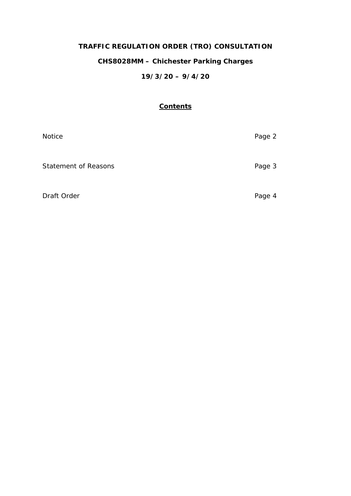# **TRAFFIC REGULATION ORDER (TRO) CONSULTATION**

## **CHS8028MM – Chichester Parking Charges**

## **19/3/20 – 9/4/20**

## **Contents**

| Notice                      | Page 2 |
|-----------------------------|--------|
| <b>Statement of Reasons</b> | Page 3 |
| Draft Order                 | Page 4 |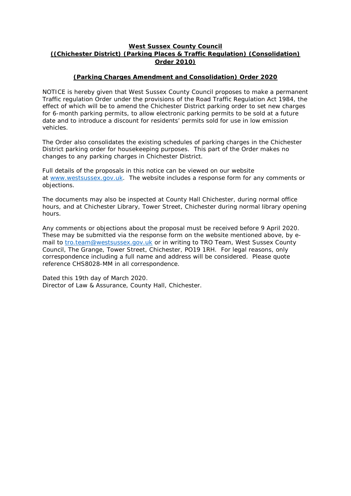## **West Sussex County Council ((Chichester District) (Parking Places & Traffic Regulation) (Consolidation) Order 2010)**

## **(Parking Charges Amendment and Consolidation) Order 2020**

NOTICE is hereby given that West Sussex County Council proposes to make a permanent Traffic regulation Order under the provisions of the Road Traffic Regulation Act 1984, the effect of which will be to amend the Chichester District parking order to set new charges for 6-month parking permits, to allow electronic parking permits to be sold at a future date and to introduce a discount for residents' permits sold for use in low emission vehicles.

The Order also consolidates the existing schedules of parking charges in the Chichester District parking order for housekeeping purposes. This part of the Order makes no changes to any parking charges in Chichester District.

Full details of the proposals in this notice can be viewed on our website at [www.westsussex.gov.uk.](http://www.westsussex.gov.uk/) The website includes a response form for any comments or objections.

The documents may also be inspected at County Hall Chichester, during normal office hours, and at Chichester Library, Tower Street, Chichester during normal library opening hours.

Any comments or objections about the proposal must be received before 9 April 2020. These may be submitted via the response form on the website mentioned above, by email to [tro.team@westsussex.gov.uk](mailto:tro.team@westsussex.gov.uk) or in writing to TRO Team, West Sussex County Council, The Grange, Tower Street, Chichester, PO19 1RH. For legal reasons, only correspondence including a full name and address will be considered. Please quote reference CHS8028-MM in all correspondence.

Dated this 19th day of March 2020. Director of Law & Assurance, County Hall, Chichester.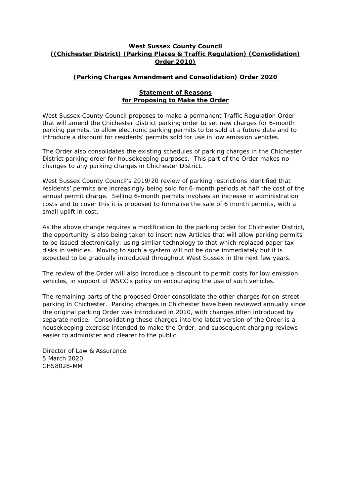## **West Sussex County Council ((Chichester District) (Parking Places & Traffic Regulation) (Consolidation) Order 2010)**

## **(Parking Charges Amendment and Consolidation) Order 2020**

#### **Statement of Reasons for Proposing to Make the Order**

West Sussex County Council proposes to make a permanent Traffic Regulation Order that will amend the Chichester District parking order to set new charges for 6-month parking permits, to allow electronic parking permits to be sold at a future date and to introduce a discount for residents' permits sold for use in low emission vehicles.

The Order also consolidates the existing schedules of parking charges in the Chichester District parking order for housekeeping purposes. This part of the Order makes no changes to any parking charges in Chichester District.

West Sussex County Council's 2019/20 review of parking restrictions identified that residents' permits are increasingly being sold for 6-month periods at half the cost of the annual permit charge. Selling 6-month permits involves an increase in administration costs and to cover this it is proposed to formalise the sale of 6 month permits, with a small uplift in cost.

As the above change requires a modification to the parking order for Chichester District, the opportunity is also being taken to insert new Articles that will allow parking permits to be issued electronically, using similar technology to that which replaced paper tax disks in vehicles. Moving to such a system will not be done immediately but it is expected to be gradually introduced throughout West Sussex in the next few years.

The review of the Order will also introduce a discount to permit costs for low emission vehicles, in support of WSCC's policy on encouraging the use of such vehicles.

The remaining parts of the proposed Order consolidate the other charges for on-street parking in Chichester. Parking charges in Chichester have been reviewed annually since the original parking Order was introduced in 2010, with changes often introduced by separate notice. Consolidating these charges into the latest version of the Order is a housekeeping exercise intended to make the Order, and subsequent charging reviews easier to administer and clearer to the public.

Director of Law & Assurance 5 March 2020 CHS8028-MM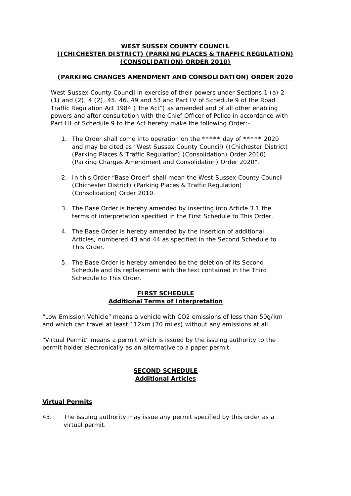## **WEST SUSSEX COUNTY COUNCIL ((CHICHESTER DISTRICT) (PARKING PLACES & TRAFFIC REGULATION) (CONSOLIDATION) ORDER 2010)**

## **(PARKING CHANGES AMENDMENT AND CONSOLIDATION) ORDER 2020**

West Sussex County Council in exercise of their powers under Sections 1 (a) 2 (1) and (2), 4 (2), 45. 46. 49 and 53 and Part IV of Schedule 9 of the Road Traffic Regulation Act 1984 ("the Act") as amended and of all other enabling powers and after consultation with the Chief Officer of Police in accordance with Part III of Schedule 9 to the Act hereby make the following Order: -

- 1. The Order shall come into operation on the \*\*\*\*\* day of \*\*\*\*\* 2020 and may be cited as "West Sussex County Council) ((Chichester District) (Parking Places & Traffic Regulation) (Consolidation) Order 2010) (Parking Charges Amendment and Consolidation) Order 2020".
- 2. In this Order "Base Order" shall mean the West Sussex County Council (Chichester District) (Parking Places & Traffic Regulation) (Consolidation) Order 2010.
- 3. The Base Order is hereby amended by inserting into Article 3.1 the terms of interpretation specified in the First Schedule to This Order.
- 4. The Base Order is hereby amended by the insertion of additional Articles, numbered 43 and 44 as specified in the Second Schedule to This Order.
- 5. The Base Order is hereby amended be the deletion of its Second Schedule and its replacement with the text contained in the Third Schedule to This Order.

## **FIRST SCHEDULE Additional Terms of Interpretation**

"Low Emission Vehicle" means a vehicle with CO2 emissions of less than 50g/km and which can travel at least 112km (70 miles) without any emissions at all.

"Virtual Permit" means a permit which is issued by the issuing authority to the permit holder electronically as an alternative to a paper permit.

## **SECOND SCHEDULE Additional Articles**

## **Virtual Permits**

43. The issuing authority may issue any permit specified by this order as a virtual permit.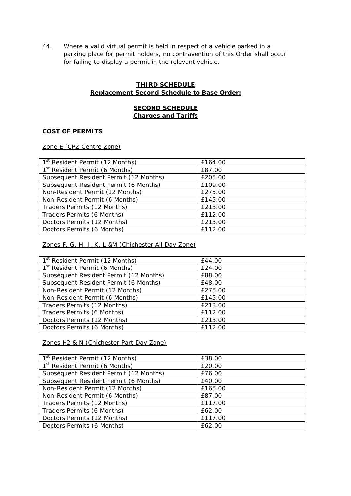44. Where a valid virtual permit is held in respect of a vehicle parked in a parking place for permit holders, no contravention of this Order shall occur for failing to display a permit in the relevant vehicle.

## **THIRD SCHEDULE Replacement Second Schedule to Base Order:**

## **SECOND SCHEDULE Charges and Tariffs**

#### **COST OF PERMITS**

Zone E (CPZ Centre Zone)

| 1 <sup>st</sup> Resident Permit (12 Months) | £164.00 |
|---------------------------------------------|---------|
| 1 <sup>st</sup> Resident Permit (6 Months)  | £87.00  |
| Subsequent Resident Permit (12 Months)      | £205.00 |
| Subsequent Resident Permit (6 Months)       | £109.00 |
| Non-Resident Permit (12 Months)             | £275.00 |
| Non-Resident Permit (6 Months)              | £145.00 |
| Traders Permits (12 Months)                 | £213.00 |
| Traders Permits (6 Months)                  | £112.00 |
| Doctors Permits (12 Months)                 | £213.00 |
| Doctors Permits (6 Months)                  | £112.00 |

Zones F, G, H, J, K, L &M (Chichester All Day Zone)

| 1 <sup>st</sup> Resident Permit (12 Months) | £44.00  |
|---------------------------------------------|---------|
| 1 <sup>st</sup> Resident Permit (6 Months)  | £24.00  |
| Subsequent Resident Permit (12 Months)      | £88.00  |
| Subsequent Resident Permit (6 Months)       | £48.00  |
| Non-Resident Permit (12 Months)             | £275.00 |
| Non-Resident Permit (6 Months)              | £145.00 |
| Traders Permits (12 Months)                 | £213.00 |
| Traders Permits (6 Months)                  | £112.00 |
| Doctors Permits (12 Months)                 | £213.00 |
| Doctors Permits (6 Months)                  | £112.00 |

Zones H2 & N (Chichester Part Day Zone)

| 1 <sup>st</sup> Resident Permit (12 Months) | £38.00  |
|---------------------------------------------|---------|
| 1 <sup>st</sup> Resident Permit (6 Months)  | £20.00  |
| Subsequent Resident Permit (12 Months)      | £76.00  |
| Subsequent Resident Permit (6 Months)       | £40.00  |
| Non-Resident Permit (12 Months)             | £165.00 |
| Non-Resident Permit (6 Months)              | £87.00  |
| Traders Permits (12 Months)                 | £117.00 |
| Traders Permits (6 Months)                  | £62.00  |
| Doctors Permits (12 Months)                 | £117.00 |
| Doctors Permits (6 Months)                  | £62.00  |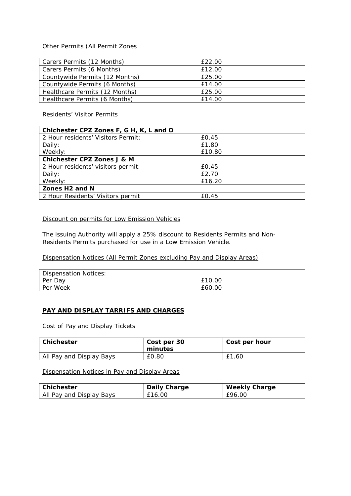#### Other Permits (All Permit Zones

| Carers Permits (12 Months)     | £22.00 |
|--------------------------------|--------|
| Carers Permits (6 Months)      | £12.00 |
| Countywide Permits (12 Months) | £25.00 |
| Countywide Permits (6 Months)  | £14.00 |
| Healthcare Permits (12 Months) | £25.00 |
| Healthcare Permits (6 Months)  | £14.00 |

Residents' Visitor Permits

| Chichester CPZ Zones F, G H, K, L and O |        |
|-----------------------------------------|--------|
| 2 Hour residents' Visitors Permit:      | £0.45  |
| Daily:                                  | £1.80  |
| Weekly:                                 | £10.80 |
| Chichester CPZ Zones J & M              |        |
| 2 Hour residents' visitors permit:      | £0.45  |
| Daily:                                  | £2.70  |
| Weekly:                                 | £16.20 |
| Zones H <sub>2</sub> and N              |        |
| 2 Hour Residents' Visitors permit       | £0.45  |

## Discount on permits for Low Emission Vehicles

The issuing Authority will apply a 25% discount to Residents Permits and Non-Residents Permits purchased for use in a Low Emission Vehicle.

## Dispensation Notices (All Permit Zones excluding Pay and Display Areas)

| Dispensation Notices: |        |
|-----------------------|--------|
| Per Day               | £10.00 |
| Per Week              | £60.00 |

#### **PAY AND DISPLAY TARRIFS AND CHARGES**

Cost of Pay and Display Tickets

| Chichester               | Cost per 30<br>minutes | Cost per hour |
|--------------------------|------------------------|---------------|
| All Pay and Display Bays | £0.80                  | f1<br>.60     |

## Dispensation Notices in Pay and Display Areas

| <b>Chichester</b>        | Daily Charge | <b>Weekly Charge</b> |
|--------------------------|--------------|----------------------|
| All Pay and Display Bays | £16.00       | £96.00               |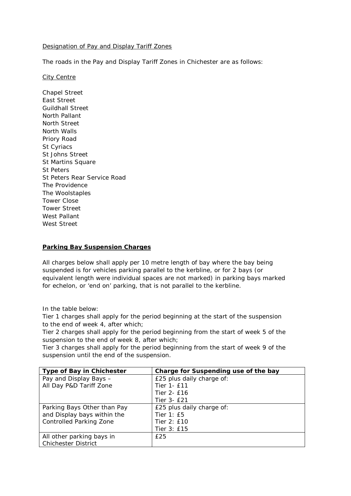#### Designation of Pay and Display Tariff Zones

The roads in the Pay and Display Tariff Zones in Chichester are as follows:

#### City Centre

Chapel Street East Street Guildhall Street North Pallant North Street North Walls Priory Road St Cyriacs St Johns Street St Martins Square St Peters St Peters Rear Service Road The Providence The Woolstaples Tower Close Tower Street West Pallant West Street

#### **Parking Bay Suspension Charges**

All charges below shall apply per 10 metre length of bay where the bay being suspended is for vehicles parking parallel to the kerbline, or for 2 bays (or equivalent length were individual spaces are not marked) in parking bays marked for echelon, or 'end on' parking, that is not parallel to the kerbline.

In the table below:

Tier 1 charges shall apply for the period beginning at the start of the suspension to the end of week 4, after which;

Tier 2 charges shall apply for the period beginning from the start of week 5 of the suspension to the end of week 8, after which;

Tier 3 charges shall apply for the period beginning from the start of week 9 of the suspension until the end of the suspension.

| <b>Type of Bay in Chichester</b> | Charge for Suspending use of the bay |
|----------------------------------|--------------------------------------|
| Pay and Display Bays -           | £25 plus daily charge of:            |
| All Day P&D Tariff Zone          | Tier 1- £11                          |
|                                  | Tier 2- £16                          |
|                                  | Tier 3- £21                          |
| Parking Bays Other than Pay      | £25 plus daily charge of:            |
| and Display bays within the      | Tier $1: E5$                         |
| <b>Controlled Parking Zone</b>   | Tier 2: £10                          |
|                                  | Tier 3: £15                          |
| All other parking bays in        | £25                                  |
| <b>Chichester District</b>       |                                      |